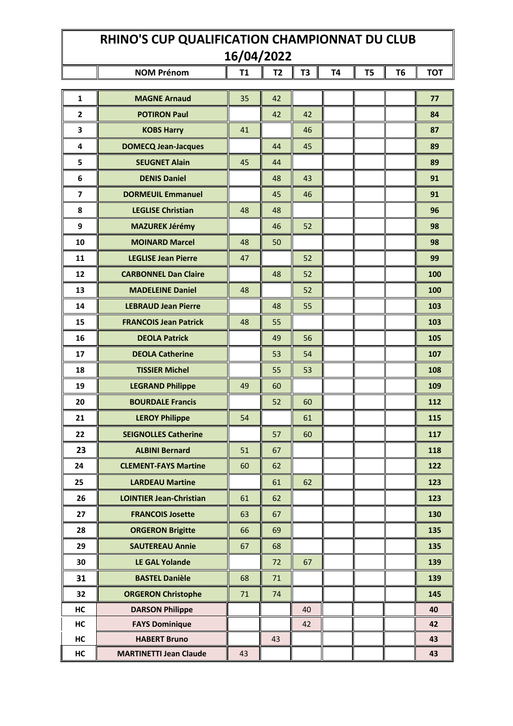## **RHINO'S CUP QUALIFICATION CHAMPIONNAT DU CLUB 16/04/2022**

T

|                         | <b>NOM Prénom</b>              | T1 | T <sub>2</sub> | T3 | T4 | T <sub>5</sub> | T <sub>6</sub> | <b>TOT</b> |
|-------------------------|--------------------------------|----|----------------|----|----|----------------|----------------|------------|
| $\mathbf{1}$            | <b>MAGNE Arnaud</b>            | 35 | 42             |    |    |                |                | 77         |
| $\mathbf{2}$            | <b>POTIRON Paul</b>            |    | 42             | 42 |    |                |                | 84         |
| $\mathbf 3$             | <b>KOBS Harry</b>              | 41 |                | 46 |    |                |                | 87         |
| 4                       | <b>DOMECQ Jean-Jacques</b>     |    | 44             | 45 |    |                |                | 89         |
| 5                       | <b>SEUGNET Alain</b>           | 45 | 44             |    |    |                |                | 89         |
| 6                       | <b>DENIS Daniel</b>            |    | 48             | 43 |    |                |                | 91         |
| $\overline{\mathbf{z}}$ | <b>DORMEUIL Emmanuel</b>       |    | 45             | 46 |    |                |                | 91         |
| 8                       | <b>LEGLISE Christian</b>       | 48 | 48             |    |    |                |                | 96         |
| $\boldsymbol{9}$        | <b>MAZUREK Jérémy</b>          |    | 46             | 52 |    |                |                | 98         |
| 10                      | <b>MOINARD Marcel</b>          | 48 | 50             |    |    |                |                | 98         |
| 11                      | <b>LEGLISE Jean Pierre</b>     | 47 |                | 52 |    |                |                | 99         |
| 12                      | <b>CARBONNEL Dan Claire</b>    |    | 48             | 52 |    |                |                | 100        |
| 13                      | <b>MADELEINE Daniel</b>        | 48 |                | 52 |    |                |                | 100        |
| 14                      | <b>LEBRAUD Jean Pierre</b>     |    | 48             | 55 |    |                |                | 103        |
| 15                      | <b>FRANCOIS Jean Patrick</b>   | 48 | 55             |    |    |                |                | 103        |
| 16                      | <b>DEOLA Patrick</b>           |    | 49             | 56 |    |                |                | 105        |
| 17                      | <b>DEOLA Catherine</b>         |    | 53             | 54 |    |                |                | 107        |
| 18                      | <b>TISSIER Michel</b>          |    | 55             | 53 |    |                |                | 108        |
| 19                      | <b>LEGRAND Philippe</b>        | 49 | 60             |    |    |                |                | 109        |
| 20                      | <b>BOURDALE Francis</b>        |    | 52             | 60 |    |                |                | 112        |
| 21                      | <b>LEROY Philippe</b>          | 54 |                | 61 |    |                |                | 115        |
| 22                      | <b>SEIGNOLLES Catherine</b>    |    | 57             | 60 |    |                |                | 117        |
| 23                      | <b>ALBINI Bernard</b>          | 51 | 67             |    |    |                |                | 118        |
| 24                      | <b>CLEMENT-FAYS Martine</b>    | 60 | 62             |    |    |                |                | 122        |
| 25                      | <b>LARDEAU Martine</b>         |    | 61             | 62 |    |                |                | 123        |
| 26                      | <b>LOINTIER Jean-Christian</b> | 61 | 62             |    |    |                |                | 123        |
| 27                      | <b>FRANCOIS Josette</b>        | 63 | 67             |    |    |                |                | 130        |
| 28                      | <b>ORGERON Brigitte</b>        | 66 | 69             |    |    |                |                | 135        |
| 29                      | <b>SAUTEREAU Annie</b>         | 67 | 68             |    |    |                |                | 135        |
| 30                      | <b>LE GAL Yolande</b>          |    | 72             | 67 |    |                |                | 139        |
| 31                      | <b>BASTEL Danièle</b>          | 68 | 71             |    |    |                |                | 139        |
| 32                      | <b>ORGERON Christophe</b>      | 71 | 74             |    |    |                |                | 145        |
| HC                      | <b>DARSON Philippe</b>         |    |                | 40 |    |                |                | 40         |
| HC                      | <b>FAYS Dominique</b>          |    |                | 42 |    |                |                | 42         |
| HC                      | <b>HABERT Bruno</b>            |    | 43             |    |    |                |                | 43         |
| HC                      | <b>MARTINETTI Jean Claude</b>  | 43 |                |    |    |                |                | 43         |